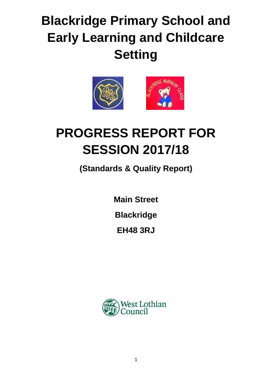# **Blackridge Primary School and Early Learning and Childcare Setting**



# **PROGRESS REPORT FOR SESSION 2017/18**

**(Standards & Quality Report)**

**Main Street**

**Blackridge**

**EH48 3RJ**

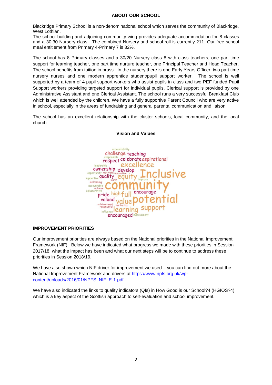#### **ABOUT OUR SCHOOL**

Blackridge Primary School is a non-denominational school which serves the community of Blackridge, West Lothian.

The school building and adjoining community wing provides adequate accommodation for 8 classes and a 30:30 Nursery class. The combined Nursery and school roll is currently 211. Our free school meal entitlement from Primary 4-Primary 7 is 32%.

The school has 8 Primary classes and a 30/20 Nursery class 8 with class teachers, one part-time support for learning teacher, one part time nurture teacher, one Principal Teacher and Head Teacher. The school benefits from tuition in brass. In the nursery there is one Early Years Officer, two part time nursery nurses and one modern apprentice student/pupil support worker. The school is well supported by a team of 4 pupil support workers who assist pupils in class and two PEF funded Pupil Support workers providing targeted support for individual pupils. Clerical support is provided by one Administrative Assistant and one Clerical Assistant. The school runs a very successful Breakfast Club which is well attended by the children. We have a fully supportive Parent Council who are very active in school, especially in the areas of fundraising and general parental communication and liaison.

The school has an excellent relationship with the cluster schools, local community, and the local church.



#### **Vision and Values**

#### **IMPROVEMENT PRIORITIES**

Our improvement priorities are always based on the National priorities in the National Improvement Framework (NIF). Below we have indicated what progress we made with these priorities in Session 2017/18, what the impact has been and what our next steps will be to continue to address these priorities in Session 2018/19.

We have also shown which NIF driver for improvement we used – you can find out more about the National Improvement Framework and drivers at [https://www.npfs.org.uk/wp](https://www.npfs.org.uk/wp-content/uploads/2016/01/NPFS_NIF_E-1.pdf)[content/uploads/2016/01/NPFS\\_NIF\\_E-1.pdf.](https://www.npfs.org.uk/wp-content/uploads/2016/01/NPFS_NIF_E-1.pdf)

We have also indicated the links to quality indicators (QIs) in How Good is our School?4 (HGIOS?4) which is a key aspect of the Scottish approach to self-evaluation and school improvement.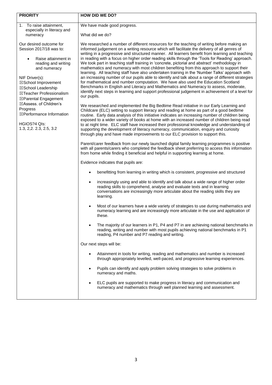| <b>PRIORITY</b>                                                                                                                                                                                                                                                                                                                                                   | <b>HOW DID WE DO?</b>                                                                                                                                                                                                                                                                                                                                                                                                                                                                                                                                                                                                                                                                                                                                                                                                                                                                                                                                                                                                                                                                                   |  |  |
|-------------------------------------------------------------------------------------------------------------------------------------------------------------------------------------------------------------------------------------------------------------------------------------------------------------------------------------------------------------------|---------------------------------------------------------------------------------------------------------------------------------------------------------------------------------------------------------------------------------------------------------------------------------------------------------------------------------------------------------------------------------------------------------------------------------------------------------------------------------------------------------------------------------------------------------------------------------------------------------------------------------------------------------------------------------------------------------------------------------------------------------------------------------------------------------------------------------------------------------------------------------------------------------------------------------------------------------------------------------------------------------------------------------------------------------------------------------------------------------|--|--|
| To raise attainment,<br>1.<br>especially in literacy and<br>numeracy                                                                                                                                                                                                                                                                                              | We have made good progress.<br>What did we do?                                                                                                                                                                                                                                                                                                                                                                                                                                                                                                                                                                                                                                                                                                                                                                                                                                                                                                                                                                                                                                                          |  |  |
| Our desired outcome for<br>Session 2017/18 was to:<br>Raise attainment in<br>$\bullet$<br>reading and writing<br>and numeracy<br>NIF Driver(s):<br>⊠School Improvement<br>⊠School Leadership<br>⊠Teacher Professionalism<br>⊠Parental Engagement<br>⊠Assess. of Children's<br>Progress<br>⊠Performance Information<br>HGIOS?4 Qls:<br>1.3, 2, 2. 2. 3, 2. 5, 3. 2 | We researched a number of different resources for the teaching of writing before making an<br>informed judgement on a writing resource which will facilitate the delivery of all genres of<br>writing in a progressive and structured manner. All learners benefit from learning and teaching<br>in reading with a focus on higher order reading skills through the 'Tools for Reading' approach.<br>We took part in teaching staff training in 'concrete, pictorial and abstract' methodology in<br>mathematics and numeracy with most children benefiting from this approach to support their<br>learning. All teaching staff have also undertaken training in the 'Number Talks' approach with<br>an increasing number of our pupils able to identify and talk about a range of different strategies<br>for mathematical and number computation. We have also used the Education Scotland<br>Benchmarks in English and Literacy and Mathematics and Numeracy to assess, moderate,<br>identify next steps in learning and support professional judgement in achievement of a level for<br>our pupils. |  |  |
|                                                                                                                                                                                                                                                                                                                                                                   | We researched and implemented the Big Bedtime Read initiative in our Early Learning and<br>Childcare (ELC) setting to support literacy and reading at home as part of a good bedtime<br>routine. Early data analysis of this initiative indicates an increasing number of children being<br>exposed to a wider variety of books at home with an increased number of children being read<br>to at night time. ELC staff have increased their professional knowledge and understanding of<br>supporting the development of literacy numeracy, communication, enquiry and curiosity<br>through play and have made improvements to our ELC provision to support this.<br>Parent/carer feedback from our newly launched digital family learning programmes is positive                                                                                                                                                                                                                                                                                                                                       |  |  |
|                                                                                                                                                                                                                                                                                                                                                                   | with all parents/carers who completed the feedback sheet preferring to access this information<br>from home while finding it beneficial and helpful in supporting learning at home.                                                                                                                                                                                                                                                                                                                                                                                                                                                                                                                                                                                                                                                                                                                                                                                                                                                                                                                     |  |  |
|                                                                                                                                                                                                                                                                                                                                                                   | Evidence indicates that pupils are:                                                                                                                                                                                                                                                                                                                                                                                                                                                                                                                                                                                                                                                                                                                                                                                                                                                                                                                                                                                                                                                                     |  |  |
|                                                                                                                                                                                                                                                                                                                                                                   | benefitting from learning in writing which is consistent, progressive and structured                                                                                                                                                                                                                                                                                                                                                                                                                                                                                                                                                                                                                                                                                                                                                                                                                                                                                                                                                                                                                    |  |  |
|                                                                                                                                                                                                                                                                                                                                                                   | increasingly using and able to identify and talk about a wide range of higher order<br>$\bullet$<br>reading skills to comprehend, analyse and evaluate texts and in learning<br>conversations are increasingly more articulate about the reading skills they are<br>learning.                                                                                                                                                                                                                                                                                                                                                                                                                                                                                                                                                                                                                                                                                                                                                                                                                           |  |  |
|                                                                                                                                                                                                                                                                                                                                                                   | Most of our learners have a wide variety of strategies to use during mathematics and<br>numeracy learning and are increasingly more articulate in the use and application of<br>these.                                                                                                                                                                                                                                                                                                                                                                                                                                                                                                                                                                                                                                                                                                                                                                                                                                                                                                                  |  |  |
|                                                                                                                                                                                                                                                                                                                                                                   | The majority of our learners in P1, P4 and P7 in are achieving national benchmarks in<br>reading, writing and number with most pupils achieving national benchmarks in P1<br>reading, P4 number and P7 reading and writing.                                                                                                                                                                                                                                                                                                                                                                                                                                                                                                                                                                                                                                                                                                                                                                                                                                                                             |  |  |
|                                                                                                                                                                                                                                                                                                                                                                   | Our next steps will be:                                                                                                                                                                                                                                                                                                                                                                                                                                                                                                                                                                                                                                                                                                                                                                                                                                                                                                                                                                                                                                                                                 |  |  |
|                                                                                                                                                                                                                                                                                                                                                                   | Attainment in tools for writing, reading and mathematics and number is increased<br>through appropriately levelled, well-paced, and progressive learning experiences.                                                                                                                                                                                                                                                                                                                                                                                                                                                                                                                                                                                                                                                                                                                                                                                                                                                                                                                                   |  |  |
|                                                                                                                                                                                                                                                                                                                                                                   | Pupils can identify and apply problem solving strategies to solve problems in<br>$\bullet$<br>numeracy and maths.                                                                                                                                                                                                                                                                                                                                                                                                                                                                                                                                                                                                                                                                                                                                                                                                                                                                                                                                                                                       |  |  |
|                                                                                                                                                                                                                                                                                                                                                                   | ELC pupils are supported to make progress in literacy and communication and<br>numeracy and mathematics through well planned learning and assessment.                                                                                                                                                                                                                                                                                                                                                                                                                                                                                                                                                                                                                                                                                                                                                                                                                                                                                                                                                   |  |  |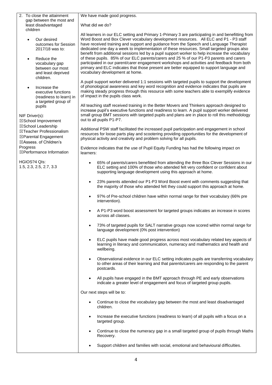2. To close the attainment gap between the most and least disadvantaged children

We have made good progress.

What did we do?

- Our desired outcomes for Session 2017/18 was to:
- Reduce the vocabulary gap between our most and least deprived children.
- Increase the executive functions (readiness to learn) in a targeted group of pupils

NIF Driver(s): ☒School Improvement ☒School Leadership ☒Teacher Professionalism ☒Parental Engagement ☒Assess. of Children's Progress ☒Performance Information

HGIOS?4 QIs: 1.5, 2.3, 2.5, 2.7, 3.3 All learners in our ELC setting and Primary 1-Primary 3 are participating in and benefitting from Word Boost and Box Clever vocabulary development resources. All ELC and P1 - P3 staff have received training and support and guidance from the Speech and Language Therapist dedicated one day a week to implementation of these resources. Small targeted groups also benefit from additional sessions led by a pupil support worker to help increase the vocabulary of these pupils. 85% of our ELC parents/carers and 25 % of our P1-P3 parents and carers participated in our parent/carer engagement workshops and activities and feedback from both primary and ELC indicates that those present are better equipped to support language and vocabulary development at home.

A pupil support worker delivered 1:1 sessions with targeted pupils to support the development of phonological awareness and key word recognition and evidence indicates that pupils are making steady progress through this resource with some teachers able to exemplify evidence of impact in the pupils class work.

All teaching staff received training in the Better Movers and Thinkers approach designed to increase pupil's executive functions and readiness to learn. A pupil support worker delivered small group BMT sessions with targeted pupils and plans are in place to roll this methodology out to all pupils P1-P7.

Additional PSW staff facilitated the increased pupil participation and engagement in school resources for loose parts play and scootering providing opportunities for the development of physical activity and creativity and problem solving for all pupils.

Evidence indicates that the use of Pupil Equity Funding has had the following impact on learners:

- 65% of parents/carers benefitted from attending the three Box Clever Sessions in our ELC setting and 100% of those who attended felt very confident or confident about supporting language development using this approach at home.
- 23% parents attended our P1-P3 Word Boost event with comments suggesting that the majority of those who attended felt they could support this approach at home.
- 97% of Pre-school children have within normal range for their vocabulary (66% pre intervention).
- A P1-P3 word boost assessment for targeted groups indicates an increase in scores across all classes.
- 73% of targeted pupils for SALT narrative groups now scored within normal range for language development (0% post intervention)
- ELC pupils have made good progress across most vocabulary related key aspects of learning in literacy and communication, numeracy and mathematics and health and wellbeing.
- Observational evidence in our ELC setting indicates pupils are transferring vocabulary to other areas of their learning and that parents/carers are responding to the parent postcards.
- All pupils have engaged in the BMT approach through PE and early observations indicate a greater level of engagement and focus of targeted group pupils.

Our next steps will be to:

- Continue to close the vocabulary gap between the most and least disadvantaged children.
- Increase the executive functions (readiness to learn) of all pupils with a focus on a targeted group.
- Continue to close the numeracy gap in a small targeted group of pupils through Maths Recovery.
- Support children and families with social, emotional and behavioural difficulties.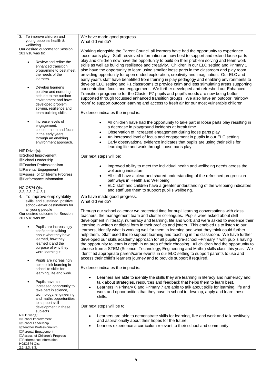| 3. To improve children and                         | We have made good progress.                                                                                                                      |
|----------------------------------------------------|--------------------------------------------------------------------------------------------------------------------------------------------------|
| young people's health &                            | What did we do?                                                                                                                                  |
| wellbeing                                          |                                                                                                                                                  |
| Our desired outcome for Session<br>2017/18 was to: | Working alongside the Parent Council all learners have had the opportunity to experience                                                         |
|                                                    | loose parts play. Staff recvieved information on how best to support and extend loose parts                                                      |
| Review and refine the                              | play and children now have the opportunity to build on their problem solving and team work                                                       |
| enhanced transition                                | skills as well as building resilience and creativity. Children in our ELC setting and Primary 1                                                  |
| programme to best meet                             | also have the opportunity to learn using smaller loose parts in the classroom and play room                                                      |
| the needs of the                                   | providing opportunity for open ended exploration, creativity and imagination. Our ELC and                                                        |
| learners.                                          | early year's staff have benefitted from training in play pedagogy and enabling environments to                                                   |
|                                                    | develop ELC setting and P1 classrooms to provide calm and less stimulating areas supporting                                                      |
| Develop learner's<br>$\bullet$                     | concentration, focus and engagement. We further developed and refreshed our Enhanced                                                             |
| positive and nurturing<br>attitude to the outdoor  | Transition programme for the Cluster P7 pupils and pupil's needs are now being better                                                            |
| environment and have                               | supported through focussed enhanced transition groups. We also have an outdoor 'rainbow                                                          |
| developed problem                                  | room' to support outdoor learning and access to fresh air for our most vulnerable children.                                                      |
| solving, resilience and                            |                                                                                                                                                  |
| team building skills.                              | Evidence indicates the impact is:                                                                                                                |
|                                                    |                                                                                                                                                  |
| Increase levels of                                 | All children have had the opportunity to take part in loose parts play resulting in<br>$\bullet$                                                 |
| engagement,                                        | a decrease in playground incidents at break time.                                                                                                |
| concentration and focus<br>in the early years      | Observation of increased engagement during loose parts play<br>$\bullet$                                                                         |
| through an enabling                                | An increased level of focus and engagement in pupils in our ELC setting                                                                          |
| environment approach.                              | Early observational evidence indicates that pupils are using their skills for<br>$\bullet$                                                       |
|                                                    | learning life and work through loose parts play                                                                                                  |
| NIF Driver(s):                                     |                                                                                                                                                  |
| ⊠School Improvement                                | Our next steps will be:                                                                                                                          |
| ⊠School Leadership<br>⊠Teacher Professionalism     |                                                                                                                                                  |
| ⊠Parental Engagement                               | Improved ability to meet the individual health and wellbeing needs across the<br>$\bullet$                                                       |
| ⊠Assess. of Children's Progress                    | wellbeing indicators.                                                                                                                            |
| ⊠Performance Information                           | All staff have a clear and shared understanding of the refreshed progression<br>$\bullet$                                                        |
|                                                    | pathways in Health and Wellbeing                                                                                                                 |
| HGIOS?4 Qls:                                       | ELC staff and children have a greater understanding of the wellbeing indicators<br>$\bullet$<br>and staff use them to support pupil's wellbeing. |
|                                                    |                                                                                                                                                  |
| 2.2, 2.3. 2.4, 3.1                                 |                                                                                                                                                  |
| 4. To improve employability                        | We have made good progress.                                                                                                                      |
| skills, and sustained, positive                    | What did we do?                                                                                                                                  |
| school-leaver destinations for                     |                                                                                                                                                  |
| all young people                                   | Through our school calendar we protected time for pupil learning conversations with class                                                        |
| Our desired outcome for Session<br>2017/18 was to: | teachers, the management team and cluster colleagues. Pupils were asked about skill                                                              |
|                                                    | development in literacy, numeracy and learning, life and work and were asked to evidence their                                                   |
| Pupils are increasingly                            | learning in written or digital form in their profiles and jotters. This enabled us to listen to our                                              |
| confident in talking                               | learners, identify what is working well for them in learning and what they think could further                                                   |
| about what they have                               | help them. Staff used this to support learning and teaching in the classroom. We have further                                                    |
| learned, how they                                  | developed our skills academy approach for all pupils' pre-school -Primary 7 with pupils having                                                   |
| learned it and the<br>purpose of why they          | the opportunity to learn in depth in an area of their choosing. All children had the opportunity to                                              |
| were learning it.                                  | choose from a STEM (Science, Technology, Engineering and Maths) skills class this year. We                                                       |
|                                                    | identified appropriate parent/carer events in our ELC setting to support parents to use and                                                      |
| Pupils are increasingly                            | access their child's learners journey and to provide support if required.                                                                        |
| able to link learning in                           | Evidence indicates the impact is:                                                                                                                |
| school to skills for<br>learning, life and work.   |                                                                                                                                                  |
|                                                    | Learners are able to identify the skills they are learning in literacy and numeracy and                                                          |
| Pupils have an                                     | talk about strategies, resources and feedback that helps them to learn best.                                                                     |
| increased opportunity to                           | Learners in Primary 6 and Primary 7 are able to talk about skills for learning, life and                                                         |
| take part in science,                              | work and opportunities that they have in school to develop, apply and learn these                                                                |
| technology, engineering                            | skills.                                                                                                                                          |
| and maths opportunities<br>to support skill        |                                                                                                                                                  |
| development in these                               | Our next steps will be to:                                                                                                                       |
| subjects.                                          |                                                                                                                                                  |
| NIF Driver(s):<br>⊠School Improvement              | Learners are able to demonstrate skills for learning, like and work and talk positively                                                          |
| ⊠School Leadership                                 | and aspirationally about their hopes for the future.                                                                                             |
| ⊠Teacher Professionalism                           | Leaners experience a curriculum relevant to their school and community.                                                                          |
| □Parental Engagement                               |                                                                                                                                                  |
| □Assess. of Children's Progress                    |                                                                                                                                                  |
| $\Box$ Performance Information<br>HGIOS?4 Qls:     |                                                                                                                                                  |
| 2.2, 2.3, 3.3,                                     |                                                                                                                                                  |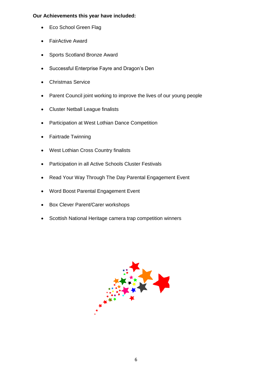# **Our Achievements this year have included:**

- Eco School Green Flag
- FairActive Award
- Sports Scotland Bronze Award
- Successful Enterprise Fayre and Dragon's Den
- Christmas Service
- Parent Council joint working to improve the lives of our young people
- Cluster Netball League finalists
- Participation at West Lothian Dance Competition
- Fairtrade Twinning
- West Lothian Cross Country finalists
- Participation in all Active Schools Cluster Festivals
- Read Your Way Through The Day Parental Engagement Event
- Word Boost Parental Engagement Event
- Box Clever Parent/Carer workshops
- Scottish National Heritage camera trap competition winners

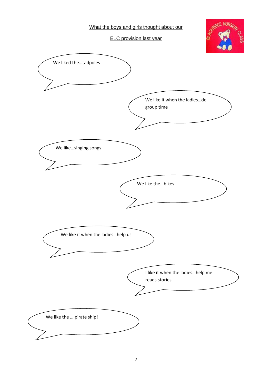What the boys and girls thought about our

ELC provision last year



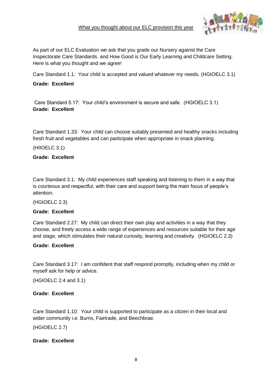## What you thought about our ELC provision this year



As part of our ELC Evaluation we ask that you grade our Nursery against the Care Inspectorate Care Standards. and How Good is Our Early Learning and Childcare Setting. Here is what you thought and we agree!

Care Standard 1.1: Your child is accepted and valued whatever my needs. (HGIOELC 3.1)

## **Grade: Excellent**

Care Standard 5.17: Your child's environment is secure and safe. (HGIOELC 3.1) **Grade: Excellent**

Care Standard 1.33: Your child can choose suitably presented and healthy snacks including fresh fruit and vegetables and can participate when appropriate in snack planning.

(HIIOELC 3.1)

#### **Grade: Excellent**

Care Standard 3.1: My child experiences staff speaking and listening to them in a way that is courteous and respectful, with their care and support being the main focus of people's attention.

(HGIOELC 2.3)

#### **Grade: Excellent**

Care Standard 2.27: My child can direct their own play and activities in a way that they choose, and freely access a wide range of experiences and resources suitable for their age and stage, which stimulates their natural curiosity, learning and creativity. (HGIOELC 2.3)

#### **Grade: Excellent**

Care Standard 3.17: I am confident that staff respond promptly, including when my child or myself ask for help or advice.

(HGIOELC 2.4 and 3.1)

#### **Grade: Excellent**

Care Standard 1.10: Your child is supported to participate as a citizen in their local and wider community i.e. Burns, Fairtrade, and Beechbrae.

(HGIOELC 2.7)

#### **Grade: Excellent**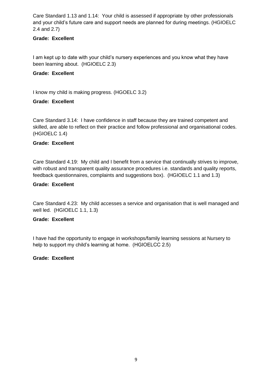Care Standard 1.13 and 1.14: Your child is assessed if appropriate by other professionals and your child's future care and support needs are planned for during meetings. (HGIOELC 2.4 and 2.7)

# **Grade: Excellent**

I am kept up to date with your child's nursery experiences and you know what they have been learning about. (HGIOELC 2.3)

## **Grade: Excellent**

I know my child is making progress. (HGOELC 3.2)

## **Grade: Excellent**

Care Standard 3.14: I have confidence in staff because they are trained competent and skilled, are able to reflect on their practice and follow professional and organisational codes. (HGIOELC 1.4)

## **Grade: Excellent**

Care Standard 4.19: My child and I benefit from a service that continually strives to improve, with robust and transparent quality assurance procedures i.e. standards and quality reports, feedback questionnaires, complaints and suggestions box). (HGIOELC 1.1 and 1.3)

#### **Grade: Excellent**

Care Standard 4.23: My child accesses a service and organisation that is well managed and well led. (HGIOELC 1.1, 1.3)

#### **Grade: Excellent**

I have had the opportunity to engage in workshops/family learning sessions at Nursery to help to support my child's learning at home. (HGIOELCC 2.5)

#### **Grade: Excellent**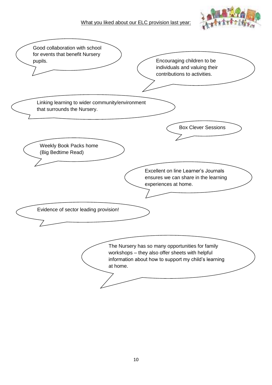

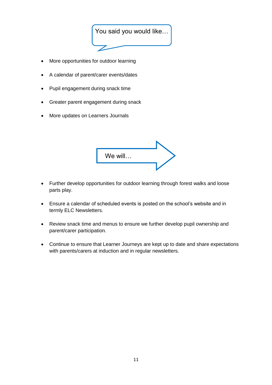

- More opportunities for outdoor learning
- A calendar of parent/carer events/dates
- Pupil engagement during snack time
- Greater parent engagement during snack
- More updates on Learners Journals

| We will |  |
|---------|--|
|         |  |

- Further develop opportunities for outdoor learning through forest walks and loose parts play.
- Ensure a calendar of scheduled events is posted on the school's website and in termly ELC Newsletters.
- Review snack time and menus to ensure we further develop pupil ownership and parent/carer participation.
- Continue to ensure that Learner Journeys are kept up to date and share expectations with parents/carers at induction and in regular newsletters.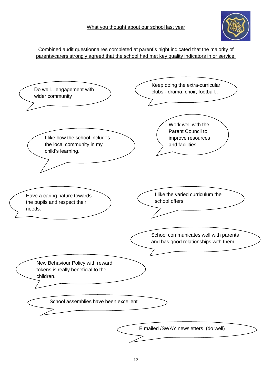

Combined audit questionnaires completed at parent's night indicated that the majority of parents/carers strongly agreed that the school had met key quality indicators in or service.

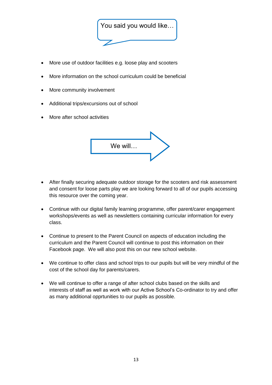

- More use of outdoor facilities e.g. loose play and scooters
- More information on the school curriculum could be beneficial
- More community involvement
- Additional trips/excursions out of school
- More after school activities



- After finally securing adequate outdoor storage for the scooters and risk assessment and consent for loose parts play we are looking forward to all of our pupils accessing this resource over the coming year.
- Continue with our digital family learning programme, offer parent/carer engagement workshops/events as well as newsletters containing curricular information for every class.
- Continue to present to the Parent Council on aspects of education including the curriculum and the Parent Council will continue to post this information on their Facebook page. We will also post this on our new school website.
- We continue to offer class and school trips to our pupils but will be very mindful of the cost of the school day for parents/carers.
- We will continue to offer a range of after school clubs based on the skills and interests of staff as well as work with our Active School's Co-ordinator to try and offer as many additional opprtunities to our pupils as possible.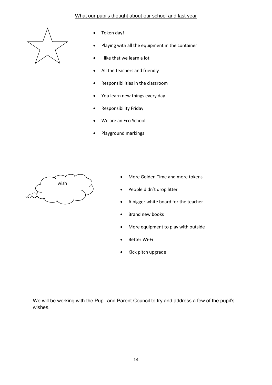## What our pupils thought about our school and last year



- Token day!
- Playing with all the equipment in the container
- I like that we learn a lot
- All the teachers and friendly
- Responsibilities in the classroom
- You learn new things every day
- Responsibility Friday
- We are an Eco School
- Playground markings



- More Golden Time and more tokens
- People didn't drop litter
- A bigger white board for the teacher
- Brand new books
- More equipment to play with outside
- Better Wi-Fi
- Kick pitch upgrade

We will be working with the Pupil and Parent Council to try and address a few of the pupil's wishes.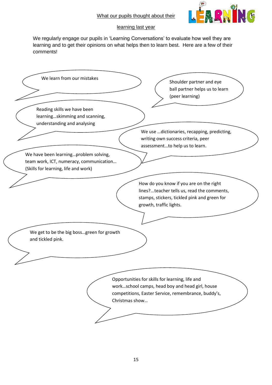

## learning last year

We regularly engage our pupils in 'Learning Conversations' to evaluate how well they are learning and to get their opinions on what helps then to learn best. Here are a few of their comments!

| We learn from our mistakes                                                                                               | Shoulder partner and eye<br>ball partner helps us to learn<br>(peer learning)                                                                                    |
|--------------------------------------------------------------------------------------------------------------------------|------------------------------------------------------------------------------------------------------------------------------------------------------------------|
| Reading skills we have been<br>learningskimming and scanning,<br>understanding and analysing                             | We use dictionaries, recapping, predicting,<br>writing own success criteria, peer                                                                                |
| We have been learningproblem solving,<br>team work, ICT, numeracy, communication<br>(Skills for learning, life and work) | assessmentto help us to learn.                                                                                                                                   |
|                                                                                                                          | How do you know if you are on the right<br>lines?teacher tells us, read the comments,<br>stamps, stickers, tickled pink and green for<br>growth, traffic lights. |
| We get to be the big bossgreen for growth<br>and tickled pink.                                                           |                                                                                                                                                                  |
| Christmas show                                                                                                           | Opportunities for skills for learning, life and<br>workschool camps, head boy and head girl, house<br>competitions, Easter Service, remembrance, buddy's,        |
|                                                                                                                          |                                                                                                                                                                  |